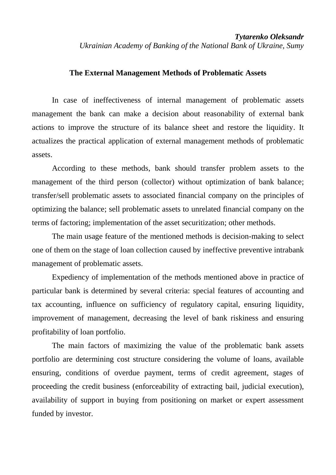## **The External Management Methods of Problematic Assets**

In case of ineffectiveness of internal management of problematic assets management the bank can make a decision about reasonability of external bank actions to improve the structure of its balance sheet and restore the liquidity. It actualizes the practical application of external management methods of problematic assets.

According to these methods, bank should transfer problem assets to the management of the third person (collector) without optimization of bank balance; transfer/sell problematic assets to associated financial company on the principles of optimizing the balance; sell problematic assets to unrelated financial company on the terms of factoring; implementation of the asset securitization; other methods.

The main usage feature of the mentioned methods is decision-making to select one of them on the stage of loan collection caused by ineffective preventive intrabank management of problematic assets.

Expediency of implementation of the methods mentioned above in practice of particular bank is determined by several criteria: special features of accounting and tax accounting, influence on sufficiency of regulatory capital, ensuring liquidity, improvement of management, decreasing the level of bank riskiness and ensuring profitability of loan portfolio.

The main factors of maximizing the value of the problematic bank assets portfolio are determining cost structure considering the volume of loans, available ensuring, conditions of overdue payment, terms of credit agreement, stages of proceeding the credit business (enforceability of extracting bail, judicial execution), availability of support in buying from positioning on market or expert assessment funded by investor.